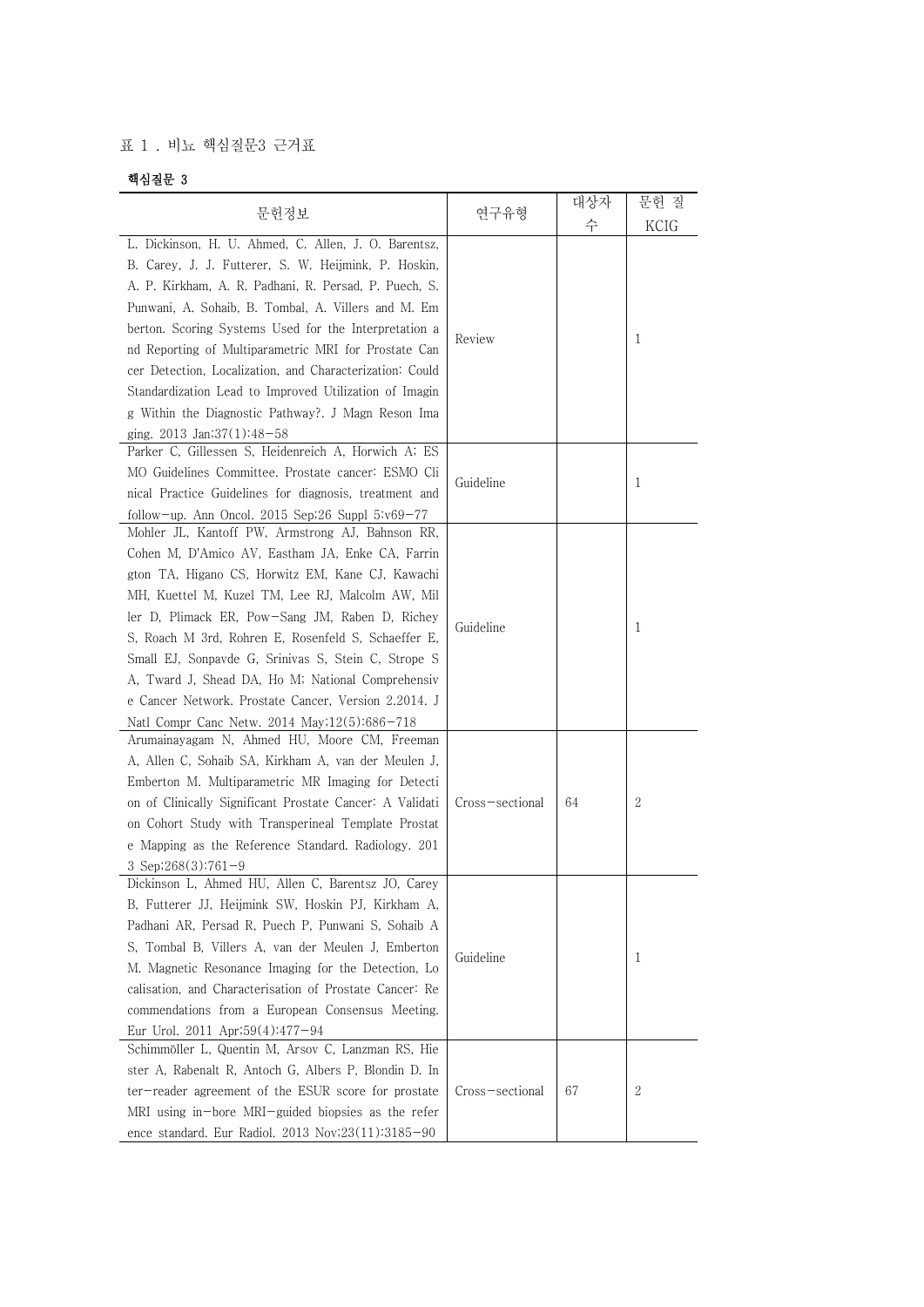## 표 1 . 비뇨 핵심질문3 근거표

## 핵심질문 3

|                                                                                                                                                                                                                                                                                                                                                                                                                                                                                                                                                                                                                                                                                                                                                                                                                            |                              | 대상자 | 문헌 질   |
|----------------------------------------------------------------------------------------------------------------------------------------------------------------------------------------------------------------------------------------------------------------------------------------------------------------------------------------------------------------------------------------------------------------------------------------------------------------------------------------------------------------------------------------------------------------------------------------------------------------------------------------------------------------------------------------------------------------------------------------------------------------------------------------------------------------------------|------------------------------|-----|--------|
| 문헌정보                                                                                                                                                                                                                                                                                                                                                                                                                                                                                                                                                                                                                                                                                                                                                                                                                       | 연구유형                         | 수   | KCIG   |
| L. Dickinson, H. U. Ahmed, C. Allen, J. O. Barentsz,<br>B. Carey, J. J. Futterer, S. W. Heijmink, P. Hoskin,<br>A. P. Kirkham, A. R. Padhani, R. Persad, P. Puech, S.<br>Punwani, A. Sohaib, B. Tombal, A. Villers and M. Em<br>berton. Scoring Systems Used for the Interpretation a<br>nd Reporting of Multiparametric MRI for Prostate Can<br>cer Detection, Localization, and Characterization: Could<br>Standardization Lead to Improved Utilization of Imagin<br>g Within the Diagnostic Pathway?. J Magn Reson Ima<br>ging. $2013$ Jan; $37(1):48-58$                                                                                                                                                                                                                                                               | Review                       |     | 1      |
| Parker C, Gillessen S, Heidenreich A, Horwich A; ES<br>MO Guidelines Committee. Prostate cancer: ESMO Cli<br>nical Practice Guidelines for diagnosis, treatment and<br>follow-up. Ann Oncol. 2015 Sep; 26 Suppl $5:\vee 69-77$                                                                                                                                                                                                                                                                                                                                                                                                                                                                                                                                                                                             | Guideline                    |     | 1      |
| Mohler JL, Kantoff PW, Armstrong AJ, Bahnson RR,<br>Cohen M, D'Amico AV, Eastham JA, Enke CA, Farrin<br>gton TA, Higano CS, Horwitz EM, Kane CJ, Kawachi<br>MH, Kuettel M, Kuzel TM, Lee RJ, Malcolm AW, Mil<br>ler D, Plimack ER, Pow-Sang JM, Raben D, Richey<br>S, Roach M 3rd, Rohren E, Rosenfeld S, Schaeffer E,<br>Small EJ, Sonpavde G, Srinivas S, Stein C, Strope S<br>A, Tward J, Shead DA, Ho M; National Comprehensiv<br>e Cancer Network. Prostate Cancer, Version 2.2014. J<br>Natl Compr Canc Netw. 2014 May;12(5):686-718<br>Arumainayagam N, Ahmed HU, Moore CM, Freeman<br>A, Allen C, Sohaib SA, Kirkham A, van der Meulen J,<br>Emberton M. Multiparametric MR Imaging for Detecti<br>on of Clinically Significant Prostate Cancer: A Validati<br>on Cohort Study with Transperineal Template Prostat | Guideline<br>Cross-sectional | 64  | 1<br>2 |
| e Mapping as the Reference Standard. Radiology. 201<br>3 Sep;268(3):761-9<br>Dickinson L, Ahmed HU, Allen C, Barentsz JO, Carey<br>B, Futterer JJ, Heijmink SW, Hoskin PJ, Kirkham A,<br>Padhani AR, Persad R, Puech P, Punwani S, Sohaib A<br>S, Tombal B, Villers A, van der Meulen J, Emberton<br>M. Magnetic Resonance Imaging for the Detection, Lo<br>calisation, and Characterisation of Prostate Cancer: Re<br>commendations from a European Consensus Meeting.                                                                                                                                                                                                                                                                                                                                                    | Guideline                    |     | 1      |
| Eur Urol. 2011 Apr;59(4):477-94<br>Schimmöller L, Quentin M, Arsov C, Lanzman RS, Hie<br>ster A, Rabenalt R, Antoch G, Albers P, Blondin D. In<br>ter-reader agreement of the ESUR score for prostate<br>MRI using in-bore MRI-guided biopsies as the refer<br>ence standard. Eur Radiol. 2013 Nov;23(11):3185-90                                                                                                                                                                                                                                                                                                                                                                                                                                                                                                          | Cross-sectional              | 67  | 2      |